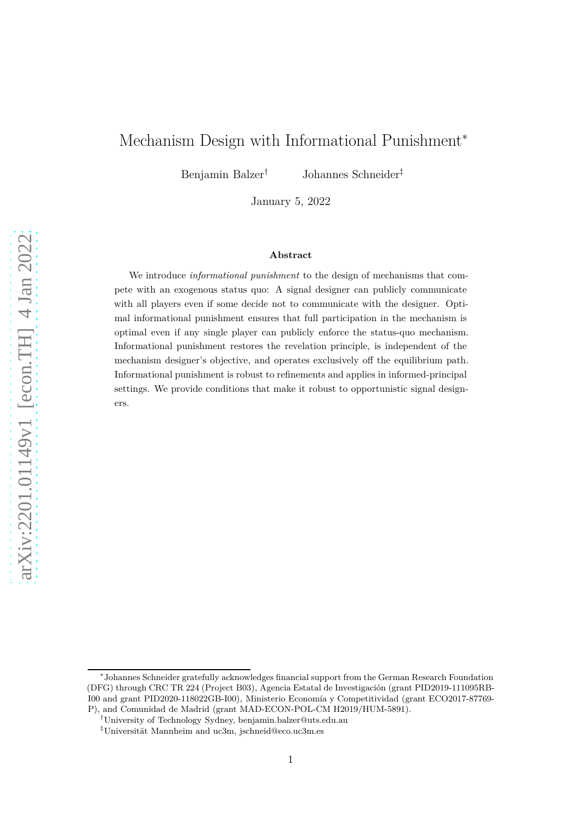# Mechanism Design with Informational Punishment<sup>∗</sup>

Benjamin Balzer† Johannes Schneider‡

January 5, 2022

#### **Abstract**

We introduce *informational punishment* to the design of mechanisms that compete with an exogenous status quo: A signal designer can publicly communicate with all players even if some decide not to communicate with the designer. Optimal informational punishment ensures that full participation in the mechanism is optimal even if any single player can publicly enforce the status-quo mechanism. Informational punishment restores the revelation principle, is independent of the mechanism designer's objective, and operates exclusively off the equilibrium path. Informational punishment is robust to refinements and applies in informed-principal settings. We provide conditions that make it robust to opportunistic signal designers.

<sup>∗</sup> Johannes Schneider gratefully acknowledges financial support from the German Research Foundation (DFG) through CRC TR 224 (Project B03), Agencia Estatal de Investigación (grant PID2019-111095RB-I00 and grant PID2020-118022GB-I00), Ministerio Economía y Competitividad (grant ECO2017-87769- P), and Comunidad de Madrid (grant MAD-ECON-POL-CM H2019/HUM-5891).

<sup>†</sup>University of Technology Sydney, benjamin.balzer@uts.edu.au

<sup>‡</sup>Universität Mannheim and uc3m, jschneid@eco.uc3m.es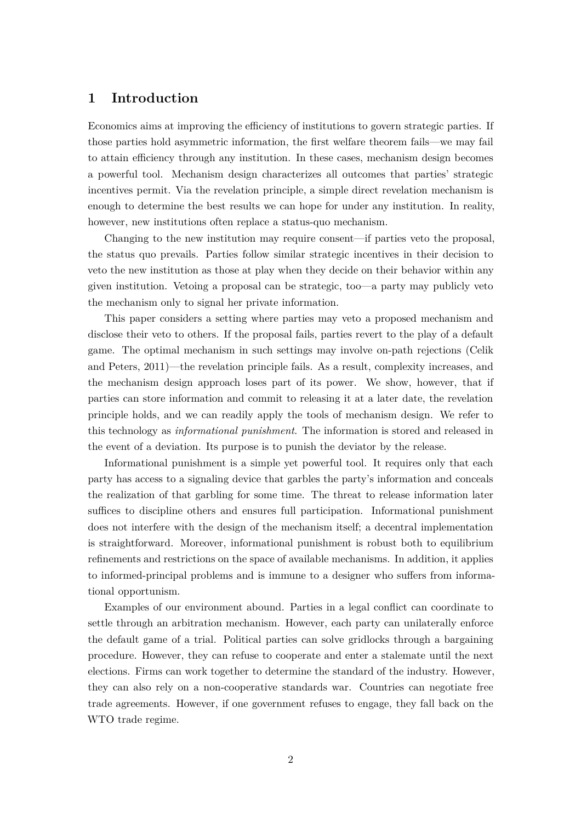# **1 Introduction**

Economics aims at improving the efficiency of institutions to govern strategic parties. If those parties hold asymmetric information, the first welfare theorem fails—we may fail to attain efficiency through any institution. In these cases, mechanism design becomes a powerful tool. Mechanism design characterizes all outcomes that parties' strategic incentives permit. Via the revelation principle, a simple direct revelation mechanism is enough to determine the best results we can hope for under any institution. In reality, however, new institutions often replace a status-quo mechanism.

Changing to the new institution may require consent—if parties veto the proposal, the status quo prevails. Parties follow similar strategic incentives in their decision to veto the new institution as those at play when they decide on their behavior within any given institution. Vetoing a proposal can be strategic, too—a party may publicly veto the mechanism only to signal her private information.

This paper considers a setting where parties may veto a proposed mechanism and disclose their veto to others. If the proposal fails, parties revert to the play of a default game. The optimal mechanism in such settings may involve on-path rejections (Celik and Peters, [2011](#page-15-0))—the revelation principle fails. As a result, complexity increases, and the mechanism design approach loses part of its power. We show, however, that if parties can store information and commit to releasing it at a later date, the revelation principle holds, and we can readily apply the tools of mechanism design. We refer to this technology as *informational punishment*. The information is stored and released in the event of a deviation. Its purpose is to punish the deviator by the release.

Informational punishment is a simple yet powerful tool. It requires only that each party has access to a signaling device that garbles the party's information and conceals the realization of that garbling for some time. The threat to release information later suffices to discipline others and ensures full participation. Informational punishment does not interfere with the design of the mechanism itself; a decentral implementation is straightforward. Moreover, informational punishment is robust both to equilibrium refinements and restrictions on the space of available mechanisms. In addition, it applies to informed-principal problems and is immune to a designer who suffers from informational opportunism.

Examples of our environment abound. Parties in a legal conflict can coordinate to settle through an arbitration mechanism. However, each party can unilaterally enforce the default game of a trial. Political parties can solve gridlocks through a bargaining procedure. However, they can refuse to cooperate and enter a stalemate until the next elections. Firms can work together to determine the standard of the industry. However, they can also rely on a non-cooperative standards war. Countries can negotiate free trade agreements. However, if one government refuses to engage, they fall back on the WTO trade regime.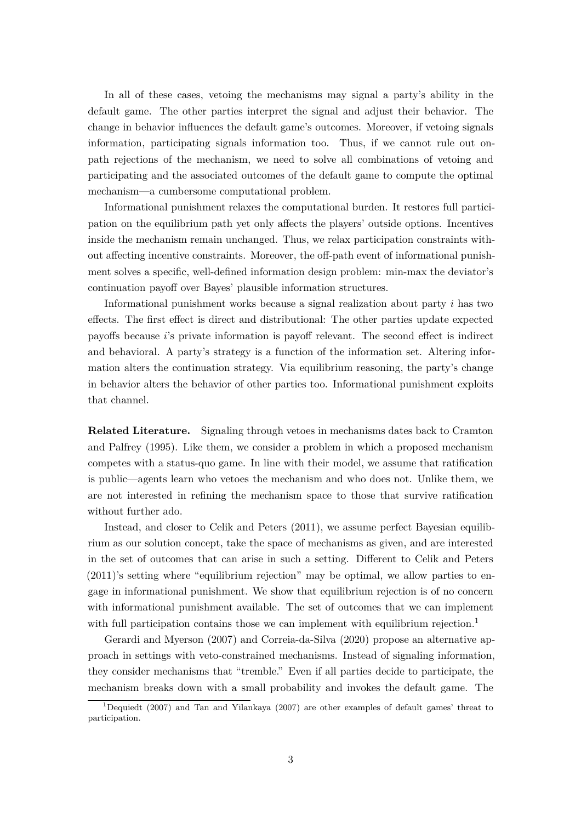In all of these cases, vetoing the mechanisms may signal a party's ability in the default game. The other parties interpret the signal and adjust their behavior. The change in behavior influences the default game's outcomes. Moreover, if vetoing signals information, participating signals information too. Thus, if we cannot rule out onpath rejections of the mechanism, we need to solve all combinations of vetoing and participating and the associated outcomes of the default game to compute the optimal mechanism—a cumbersome computational problem.

Informational punishment relaxes the computational burden. It restores full participation on the equilibrium path yet only affects the players' outside options. Incentives inside the mechanism remain unchanged. Thus, we relax participation constraints without affecting incentive constraints. Moreover, the off-path event of informational punishment solves a specific, well-defined information design problem: min-max the deviator's continuation payoff over Bayes' plausible information structures.

Informational punishment works because a signal realization about party *i* has two effects. The first effect is direct and distributional: The other parties update expected payoffs because *i*'s private information is payoff relevant. The second effect is indirect and behavioral. A party's strategy is a function of the information set. Altering information alters the continuation strategy. Via equilibrium reasoning, the party's change in behavior alters the behavior of other parties too. Informational punishment exploits that channel.

**Related Literature.** Signaling through vetoes in mechanisms dates back to Cramton and Palfrey [\(1995\)](#page-15-1). Like them, we consider a problem in which a proposed mechanism competes with a status-quo game. In line with their model, we assume that ratification is public—agents learn who vetoes the mechanism and who does not. Unlike them, we are not interested in refining the mechanism space to those that survive ratification without further ado.

Instead, and closer to Celik and Peters [\(2011\)](#page-15-0), we assume perfect Bayesian equilibrium as our solution concept, take the space of mechanisms as given, and are interested in the set of outcomes that can arise in such a setting. Different to Celik and Peters [\(2011](#page-15-0))'s setting where "equilibrium rejection" may be optimal, we allow parties to engage in informational punishment. We show that equilibrium rejection is of no concern with informational punishment available. The set of outcomes that we can implement with full participation contains those we can implement with equilibrium rejection.<sup>1</sup>

Gerardi and Myerson [\(2007](#page-15-2)) and Correia-da-Silva [\(2020\)](#page-15-3) propose an alternative approach in settings with veto-constrained mechanisms. Instead of signaling information, they consider mechanisms that "tremble." Even if all parties decide to participate, the mechanism breaks down with a small probability and invokes the default game. The

<sup>1</sup>Dequiedt [\(2007](#page-15-4)) and Tan and Yilankaya [\(2007](#page-15-5)) are other examples of default games' threat to participation.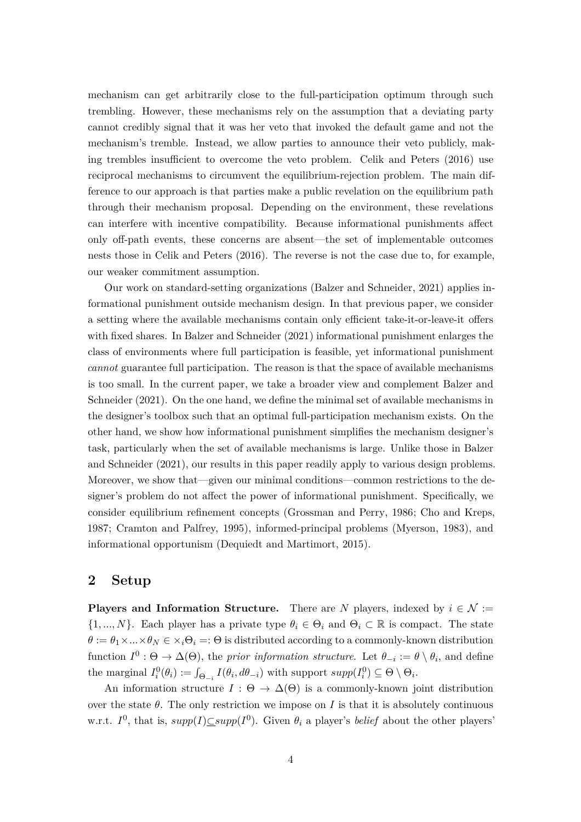mechanism can get arbitrarily close to the full-participation optimum through such trembling. However, these mechanisms rely on the assumption that a deviating party cannot credibly signal that it was her veto that invoked the default game and not the mechanism's tremble. Instead, we allow parties to announce their veto publicly, making trembles insufficient to overcome the veto problem. Celik and Peters [\(2016](#page-15-6)) use reciprocal mechanisms to circumvent the equilibrium-rejection problem. The main difference to our approach is that parties make a public revelation on the equilibrium path through their mechanism proposal. Depending on the environment, these revelations can interfere with incentive compatibility. Because informational punishments affect only off-path events, these concerns are absent—the set of implementable outcomes nests those in Celik and Peters [\(2016](#page-15-6)). The reverse is not the case due to, for example, our weaker commitment assumption.

Our work on standard-setting organizations (Balzer and Schneider, [2021](#page-14-0)) applies informational punishment outside mechanism design. In that previous paper, we consider a setting where the available mechanisms contain only efficient take-it-or-leave-it offers with fixed shares. In Balzer and Schneider [\(2021\)](#page-14-0) informational punishment enlarges the class of environments where full participation is feasible, yet informational punishment *cannot* guarantee full participation. The reason is that the space of available mechanisms is too small. In the current paper, we take a broader view and complement Balzer and Schneider [\(2021](#page-14-0)). On the one hand, we define the minimal set of available mechanisms in the designer's toolbox such that an optimal full-participation mechanism exists. On the other hand, we show how informational punishment simplifies the mechanism designer's task, particularly when the set of available mechanisms is large. Unlike those in Balzer and Schneider [\(2021\)](#page-14-0), our results in this paper readily apply to various design problems. Moreover, we show that—given our minimal conditions—common restrictions to the designer's problem do not affect the power of informational punishment. Specifically, we consider equilibrium refinement concepts (Grossman and Perry, [1986](#page-15-7); Cho and Kreps, [1987](#page-15-8); Cramton and Palfrey, [1995](#page-15-1)), informed-principal problems (Myerson, [1983\)](#page-15-9), and informational opportunism (Dequiedt and Martimort, [2015](#page-15-10)).

## **2 Setup**

**Players and Information Structure.** There are *N* players, indexed by  $i \in \mathcal{N}$  :=  $\{1, ..., N\}$ . Each player has a private type  $\theta_i \in \Theta_i$  and  $\Theta_i \subset \mathbb{R}$  is compact. The state  $\theta := \theta_1 \times \ldots \times \theta_N \in \times_i \Theta_i =: \Theta$  is distributed according to a commonly-known distribution function  $I^0: \Theta \to \Delta(\Theta)$ , the *prior information structure*. Let  $\theta_{-i} := \theta \setminus \theta_i$ , and define the marginal  $I_i^0(\theta_i) := \int_{\Theta_{-i}} I(\theta_i, d\theta_{-i})$  with support  $supp(I_i^0) \subseteq \Theta \setminus \Theta_i$ .

An information structure  $I : \Theta \to \Delta(\Theta)$  is a commonly-known joint distribution over the state  $\theta$ . The only restriction we impose on *I* is that it is absolutely continuous w.r.t.  $I^0$ , that is,  $supp(I) \subseteq supp(I^0)$ . Given  $\theta_i$  a player's *belief* about the other players'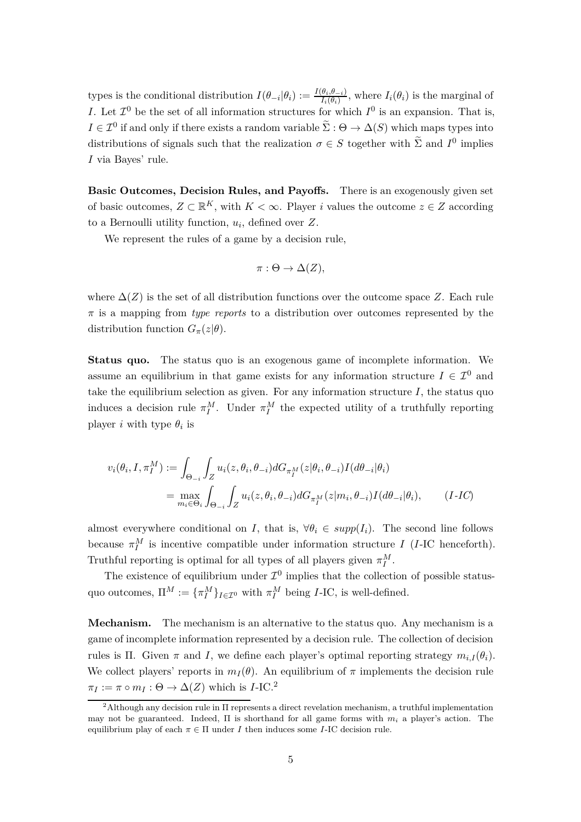types is the conditional distribution  $I(\theta_{-i}|\theta_i) := \frac{I(\theta_i, \theta_{-i})}{I_i(\theta_i)}$ , where  $I_i(\theta_i)$  is the marginal of *I*. Let  $\mathcal{I}^0$  be the set of all information structures for which  $I^0$  is an expansion. That is,  $I \in \mathcal{I}^0$  if and only if there exists a random variable  $\tilde{\Sigma} : \Theta \to \Delta(S)$  which maps types into distributions of signals such that the realization  $\sigma \in S$  together with  $\tilde{\Sigma}$  and  $I^0$  implies *I* via Bayes' rule.

**Basic Outcomes, Decision Rules, and Payoffs.** There is an exogenously given set of basic outcomes,  $Z \subset \mathbb{R}^K$ , with  $K < \infty$ . Player *i* values the outcome  $z \in Z$  according to a Bernoulli utility function, *u<sup>i</sup>* , defined over *Z*.

We represent the rules of a game by a decision rule,

$$
\pi: \Theta \to \Delta(Z),
$$

where  $\Delta(Z)$  is the set of all distribution functions over the outcome space Z. Each rule *π* is a mapping from *type reports* to a distribution over outcomes represented by the distribution function  $G_{\pi}(z|\theta)$ .

**Status quo.** The status quo is an exogenous game of incomplete information. We assume an equilibrium in that game exists for any information structure  $I \in \mathcal{I}^0$  and take the equilibrium selection as given. For any information structure  $I$ , the status quo induces a decision rule  $\pi_I^M$ . Under  $\pi_I^M$  the expected utility of a truthfully reporting player *i* with type  $\theta_i$  is

$$
v_i(\theta_i, I, \pi_I^M) := \int_{\Theta_{-i}} \int_Z u_i(z, \theta_i, \theta_{-i}) dG_{\pi_I^M}(z|\theta_i, \theta_{-i}) I(d\theta_{-i}|\theta_i)
$$
  
= 
$$
\max_{m_i \in \Theta_i} \int_{\Theta_{-i}} \int_Z u_i(z, \theta_i, \theta_{-i}) dG_{\pi_I^M}(z|m_i, \theta_{-i}) I(d\theta_{-i}|\theta_i),
$$
 (I-IC)

almost everywhere conditional on *I*, that is,  $\forall \theta_i \in supp(I_i)$ . The second line follows because  $\pi_I^M$  is incentive compatible under information structure *I* (*I*-IC henceforth). Truthful reporting is optimal for all types of all players given  $\pi_I^M$ .

The existence of equilibrium under  $\mathcal{I}^0$  implies that the collection of possible statusquo outcomes,  $\Pi^M := {\{\pi_I^M\}}_{I \in \mathcal{I}^0}$  with  $\pi_I^M$  being *I*-IC, is well-defined.

**Mechanism.** The mechanism is an alternative to the status quo. Any mechanism is a game of incomplete information represented by a decision rule. The collection of decision rules is Π. Given *π* and *I*, we define each player's optimal reporting strategy  $m_{i,I}(\theta_i)$ . We collect players' reports in  $m_I(\theta)$ . An equilibrium of  $\pi$  implements the decision rule  $\pi_I := \pi \circ m_I : \Theta \to \Delta(Z)$  which is *I*-IC.<sup>2</sup>

<sup>2</sup>Although any decision rule in Π represents a direct revelation mechanism, a truthful implementation may not be guaranteed. Indeed, Π is shorthand for all game forms with *m<sup>i</sup>* a player's action. The equilibrium play of each  $\pi \in \Pi$  under *I* then induces some *I*-IC decision rule.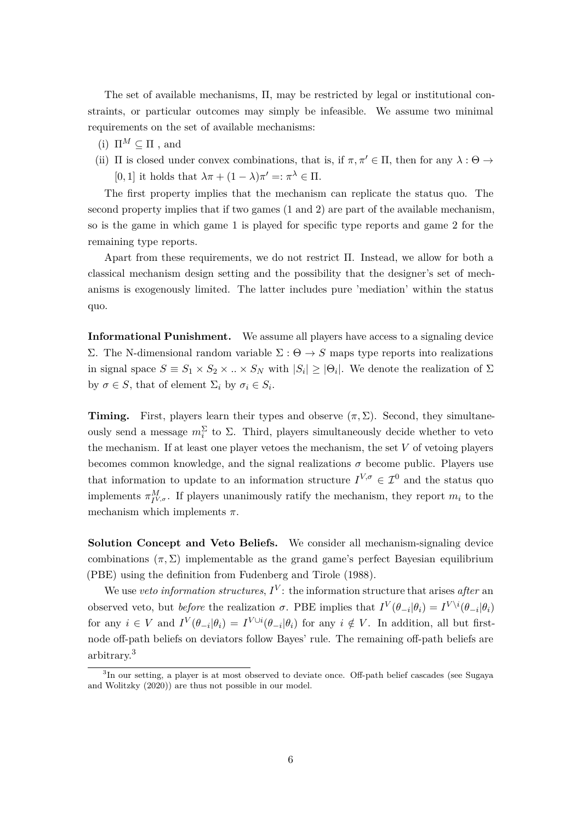The set of available mechanisms, Π, may be restricted by legal or institutional constraints, or particular outcomes may simply be infeasible. We assume two minimal requirements on the set of available mechanisms:

- (i)  $\Pi^M \subseteq \Pi$ , and
- (ii)  $\Pi$  is closed under convex combinations, that is, if  $\pi, \pi' \in \Pi$ , then for any  $\lambda : \Theta \to$ [0, 1] it holds that  $\lambda \pi + (1 - \lambda) \pi' =: \pi^{\lambda} \in \Pi$ .

The first property implies that the mechanism can replicate the status quo. The second property implies that if two games (1 and 2) are part of the available mechanism, so is the game in which game 1 is played for specific type reports and game 2 for the remaining type reports.

Apart from these requirements, we do not restrict Π. Instead, we allow for both a classical mechanism design setting and the possibility that the designer's set of mechanisms is exogenously limited. The latter includes pure 'mediation' within the status quo.

**Informational Punishment.** We assume all players have access to a signaling device Σ. The N-dimensional random variable Σ : Θ → *S* maps type reports into realizations in signal space  $S \equiv S_1 \times S_2 \times \ldots \times S_N$  with  $|S_i| \geq |\Theta_i|$ . We denote the realization of  $\Sigma$ by  $\sigma \in S$ , that of element  $\Sigma_i$  by  $\sigma_i \in S_i$ .

**Timing.** First, players learn their types and observe  $(\pi, \Sigma)$ . Second, they simultaneously send a message  $m_i^{\Sigma}$  to  $\Sigma$ . Third, players simultaneously decide whether to veto the mechanism. If at least one player vetoes the mechanism, the set *V* of vetoing players becomes common knowledge, and the signal realizations  $\sigma$  become public. Players use that information to update to an information structure  $I^{V,\sigma} \in \mathcal{I}^0$  and the status quo implements  $\pi_{I^{V,\sigma}}^{M}$ . If players unanimously ratify the mechanism, they report  $m_i$  to the mechanism which implements *π*.

**Solution Concept and Veto Beliefs.** We consider all mechanism-signaling device combinations  $(\pi, \Sigma)$  implementable as the grand game's perfect Bayesian equilibrium (PBE) using the definition from Fudenberg and Tirole [\(1988](#page-15-11)).

We use *veto information structures*,  $I^V$ : the information structure that arises *after* an observed veto, but *before* the realization *σ*. PBE implies that  $I^V(\theta_{-i}|\theta_i) = I^{V\setminus i}(\theta_{-i}|\theta_i)$ for any  $i \in V$  and  $I^V(\theta_{-i}|\theta_i) = I^{V \cup i}(\theta_{-i}|\theta_i)$  for any  $i \notin V$ . In addition, all but firstnode off-path beliefs on deviators follow Bayes' rule. The remaining off-path beliefs are arbitrary.<sup>3</sup>

<sup>&</sup>lt;sup>3</sup>In our setting, a player is at most observed to deviate once. Off-path belief cascades (see Sugaya and Wolitzky [\(2020\)](#page-15-12)) are thus not possible in our model.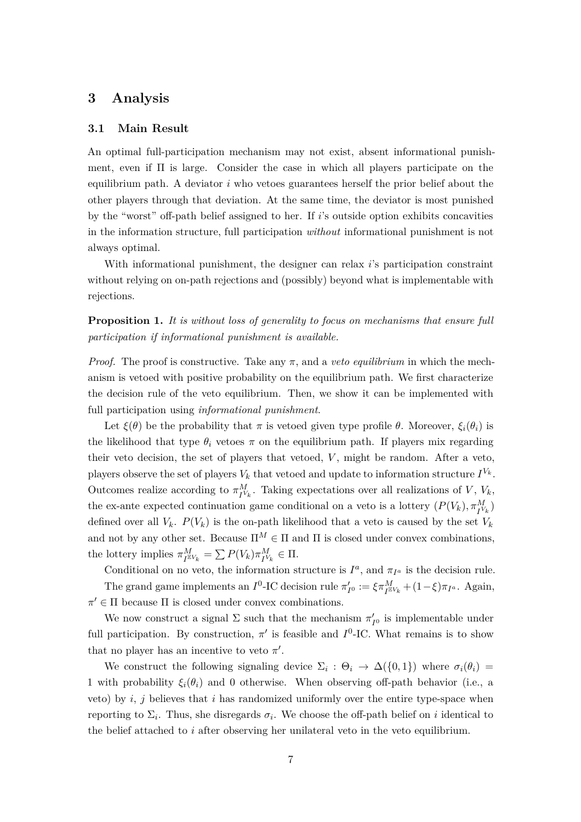# **3 Analysis**

## **3.1 Main Result**

An optimal full-participation mechanism may not exist, absent informational punishment, even if  $\Pi$  is large. Consider the case in which all players participate on the equilibrium path. A deviator *i* who vetoes guarantees herself the prior belief about the other players through that deviation. At the same time, the deviator is most punished by the "worst" off-path belief assigned to her. If *i*'s outside option exhibits concavities in the information structure, full participation *without* informational punishment is not always optimal.

<span id="page-6-0"></span>With informational punishment, the designer can relax *i*'s participation constraint without relying on on-path rejections and (possibly) beyond what is implementable with rejections.

**Proposition 1.** *It is without loss of generality to focus on mechanisms that ensure full participation if informational punishment is available.*

*Proof.* The proof is constructive. Take any  $\pi$ , and a *veto equilibrium* in which the mechanism is vetoed with positive probability on the equilibrium path. We first characterize the decision rule of the veto equilibrium. Then, we show it can be implemented with full participation using *informational punishment*.

Let  $\xi(\theta)$  be the probability that  $\pi$  is vetoed given type profile  $\theta$ . Moreover,  $\xi_i(\theta_i)$  is the likelihood that type  $\theta_i$  vetoes  $\pi$  on the equilibrium path. If players mix regarding their veto decision, the set of players that vetoed, *V* , might be random. After a veto, players observe the set of players  $V_k$  that vetoed and update to information structure  $I^{V_k}$ . Outcomes realize according to  $\pi_{I^{V_k}}^M$ . Taking expectations over all realizations of *V*,  $V_k$ , the ex-ante expected continuation game conditional on a veto is a lottery  $(P(V_k), \pi_{I^{V_k}}^M)$ defined over all  $V_k$ .  $P(V_k)$  is the on-path likelihood that a veto is caused by the set  $V_k$ and not by any other set. Because  $\Pi^M \in \Pi$  and  $\Pi$  is closed under convex combinations, the lottery implies  $\pi_{I^{\mathbb{E}V_k}}^M = \sum P(V_k) \pi_{I^{\mathbb{V}_k}}^M \in \Pi$ .

Conditional on no veto, the information structure is  $I^a$ , and  $\pi_{I^a}$  is the decision rule. The grand game implements an  $I^0$ -IC decision rule  $\pi'_{I^0} := \xi \pi^M_{I^{EV_k}} + (1 - \xi) \pi_{I^a}$ . Again,  $\pi' \in \Pi$  because  $\Pi$  is closed under convex combinations.

We now construct a signal  $\Sigma$  such that the mechanism  $\pi'_{I^0}$  is implementable under full participation. By construction,  $\pi'$  is feasible and  $I^0$ -IC. What remains is to show that no player has an incentive to veto  $\pi'$ .

We construct the following signaling device  $\Sigma_i$ :  $\Theta_i \to \Delta({0,1})$  where  $\sigma_i(\theta_i)$  = 1 with probability  $\xi_i(\theta_i)$  and 0 otherwise. When observing off-path behavior (i.e., a veto) by *i*, *j* believes that *i* has randomized uniformly over the entire type-space when reporting to  $\Sigma_i$ . Thus, she disregards  $\sigma_i$ . We choose the off-path belief on *i* identical to the belief attached to *i* after observing her unilateral veto in the veto equilibrium.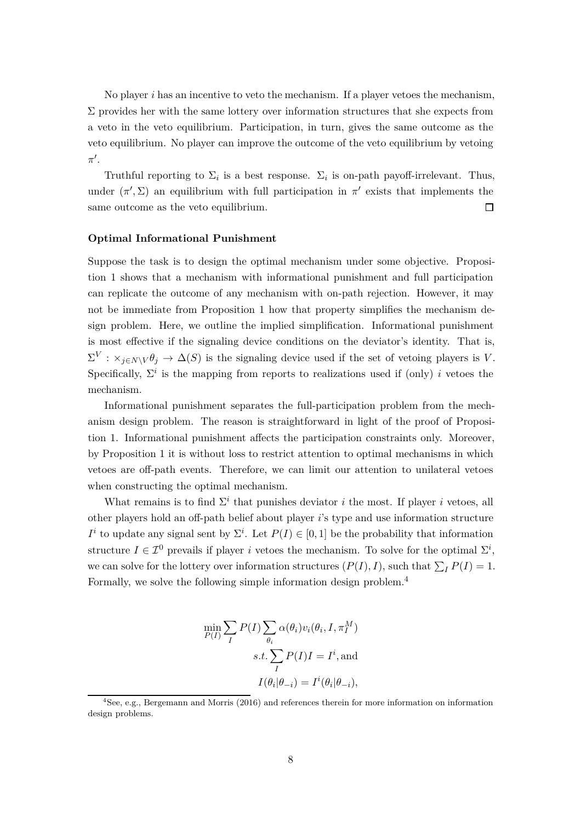No player *i* has an incentive to veto the mechanism. If a player vetoes the mechanism,  $\Sigma$  provides her with the same lottery over information structures that she expects from a veto in the veto equilibrium. Participation, in turn, gives the same outcome as the veto equilibrium. No player can improve the outcome of the veto equilibrium by vetoing *π* ′ .

Truthful reporting to  $\Sigma_i$  is a best response.  $\Sigma_i$  is on-path payoff-irrelevant. Thus, under  $(\pi', \Sigma)$  an equilibrium with full participation in  $\pi'$  exists that implements the same outcome as the veto equilibrium.  $\Box$ 

### **Optimal Informational Punishment**

Suppose the task is to design the optimal mechanism under some objective. Proposition [1](#page-6-0) shows that a mechanism with informational punishment and full participation can replicate the outcome of any mechanism with on-path rejection. However, it may not be immediate from Proposition [1](#page-6-0) how that property simplifies the mechanism design problem. Here, we outline the implied simplification. Informational punishment is most effective if the signaling device conditions on the deviator's identity. That is,  $\Sigma^V$  :  $\times_{j\in N\setminus V}\theta_j \to \Delta(S)$  is the signaling device used if the set of vetoing players is *V*. Specifically,  $\Sigma^i$  is the mapping from reports to realizations used if (only) *i* vetoes the mechanism.

Informational punishment separates the full-participation problem from the mechanism design problem. The reason is straightforward in light of the proof of Proposition [1.](#page-6-0) Informational punishment affects the participation constraints only. Moreover, by Proposition [1](#page-6-0) it is without loss to restrict attention to optimal mechanisms in which vetoes are off-path events. Therefore, we can limit our attention to unilateral vetoes when constructing the optimal mechanism.

What remains is to find  $\Sigma^i$  that punishes deviator *i* the most. If player *i* vetoes, all other players hold an off-path belief about player *i*'s type and use information structure *I*<sup>*i*</sup> to update any signal sent by  $\Sigma$ <sup>*i*</sup>. Let  $P(I) \in [0,1]$  be the probability that information structure  $I \in \mathcal{I}^0$  prevails if player *i* vetoes the mechanism. To solve for the optimal  $\Sigma^i$ , we can solve for the lottery over information structures  $(P(I), I)$ , such that  $\sum_{I} P(I) = 1$ . Formally, we solve the following simple information design problem.<sup>4</sup>

$$
\min_{P(I)} \sum_{I} P(I) \sum_{\theta_i} \alpha(\theta_i) v_i(\theta_i, I, \pi_I^M)
$$

$$
s.t. \sum_{I} P(I)I = I^i, \text{and}
$$

$$
I(\theta_i | \theta_{-i}) = I^i(\theta_i | \theta_{-i}),
$$

<sup>4</sup> See, e.g., Bergemann and Morris [\(2016\)](#page-15-13) and references therein for more information on information design problems.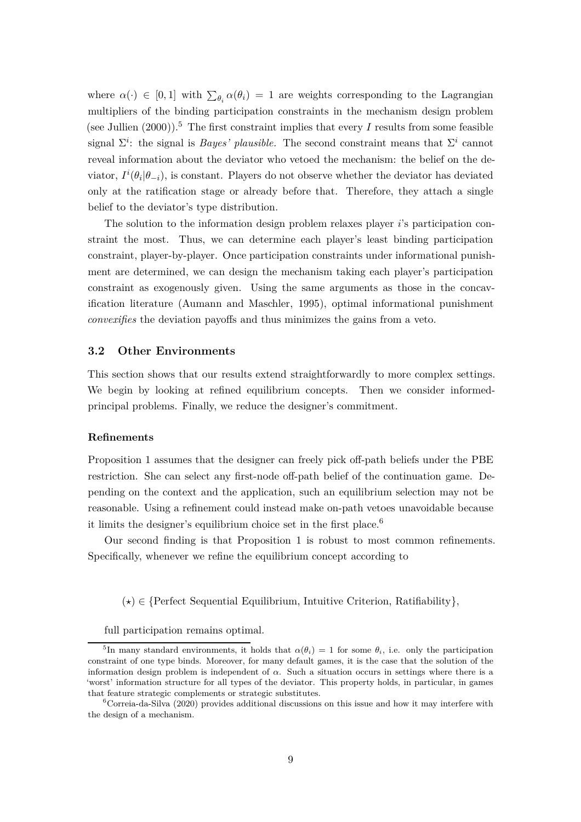where  $\alpha(\cdot) \in [0,1]$  with  $\sum_{\theta_i} \alpha(\theta_i) = 1$  are weights corresponding to the Lagrangian multipliers of the binding participation constraints in the mechanism design problem (see Jullien  $(2000)$ ).<sup>5</sup> The first constraint implies that every *I* results from some feasible signal  $\Sigma^i$ : the signal is *Bayes' plausible*. The second constraint means that  $\Sigma^i$  cannot reveal information about the deviator who vetoed the mechanism: the belief on the deviator,  $I^i(\theta_i|\theta_{-i})$ , is constant. Players do not observe whether the deviator has deviated only at the ratification stage or already before that. Therefore, they attach a single belief to the deviator's type distribution.

The solution to the information design problem relaxes player *i*'s participation constraint the most. Thus, we can determine each player's least binding participation constraint, player-by-player. Once participation constraints under informational punishment are determined, we can design the mechanism taking each player's participation constraint as exogenously given. Using the same arguments as those in the concavification literature (Aumann and Maschler, [1995](#page-14-1)), optimal informational punishment *convexifies* the deviation payoffs and thus minimizes the gains from a veto.

## **3.2 Other Environments**

This section shows that our results extend straightforwardly to more complex settings. We begin by looking at refined equilibrium concepts. Then we consider informedprincipal problems. Finally, we reduce the designer's commitment.

### **Refinements**

Proposition [1](#page-6-0) assumes that the designer can freely pick off-path beliefs under the PBE restriction. She can select any first-node off-path belief of the continuation game. Depending on the context and the application, such an equilibrium selection may not be reasonable. Using a refinement could instead make on-path vetoes unavoidable because it limits the designer's equilibrium choice set in the first place.<sup>6</sup>

Our second finding is that Proposition [1](#page-6-0) is robust to most common refinements. Specifically, whenever we refine the equilibrium concept according to

(*⋆*) ∈ {Perfect Sequential Equilibrium, Intuitive Criterion, Ratifiability}*,*

full participation remains optimal.

<sup>&</sup>lt;sup>5</sup>In many standard environments, it holds that  $\alpha(\theta_i) = 1$  for some  $\theta_i$ , i.e. only the participation constraint of one type binds. Moreover, for many default games, it is the case that the solution of the information design problem is independent of *α*. Such a situation occurs in settings where there is a 'worst' information structure for all types of the deviator. This property holds, in particular, in games that feature strategic complements or strategic substitutes.

 ${}^{6}$ Correia-da-Silva [\(2020](#page-15-3)) provides additional discussions on this issue and how it may interfere with the design of a mechanism.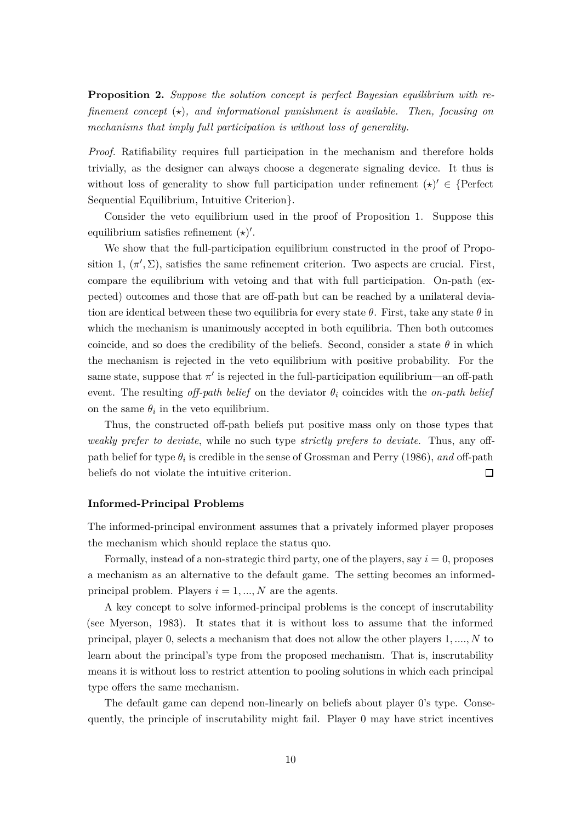**Proposition 2.** *Suppose the solution concept is perfect Bayesian equilibrium with refinement concept* (*⋆*)*, and informational punishment is available. Then, focusing on mechanisms that imply full participation is without loss of generality.*

*Proof.* Ratifiability requires full participation in the mechanism and therefore holds trivially, as the designer can always choose a degenerate signaling device. It thus is without loss of generality to show full participation under refinement  $(\star)' \in \{Perfect$ Sequential Equilibrium, Intuitive Criterion}.

Consider the veto equilibrium used in the proof of Proposition [1.](#page-6-0) Suppose this equilibrium satisfies refinement (*⋆*) ′ .

We show that the full-participation equilibrium constructed in the proof of Propo-sition [1,](#page-6-0)  $(\pi', \Sigma)$ , satisfies the same refinement criterion. Two aspects are crucial. First, compare the equilibrium with vetoing and that with full participation. On-path (expected) outcomes and those that are off-path but can be reached by a unilateral deviation are identical between these two equilibria for every state  $\theta$ . First, take any state  $\theta$  in which the mechanism is unanimously accepted in both equilibria. Then both outcomes coincide, and so does the credibility of the beliefs. Second, consider a state  $\theta$  in which the mechanism is rejected in the veto equilibrium with positive probability. For the same state, suppose that  $\pi'$  is rejected in the full-participation equilibrium—an off-path event. The resulting *off-path belief* on the deviator  $\theta_i$  coincides with the *on-path belief* on the same  $\theta_i$  in the veto equilibrium.

Thus, the constructed off-path beliefs put positive mass only on those types that *weakly prefer to deviate*, while no such type *strictly prefers to deviate*. Thus, any offpath belief for type  $\theta_i$  is credible in the sense of Grossman and Perry [\(1986](#page-15-7)), *and* off-path beliefs do not violate the intuitive criterion. П

### **Informed-Principal Problems**

The informed-principal environment assumes that a privately informed player proposes the mechanism which should replace the status quo.

Formally, instead of a non-strategic third party, one of the players, say  $i = 0$ , proposes a mechanism as an alternative to the default game. The setting becomes an informedprincipal problem. Players  $i = 1, ..., N$  are the agents.

A key concept to solve informed-principal problems is the concept of inscrutability (see Myerson, [1983](#page-15-9)). It states that it is without loss to assume that the informed principal, player 0, selects a mechanism that does not allow the other players 1*, ...., N* to learn about the principal's type from the proposed mechanism. That is, inscrutability means it is without loss to restrict attention to pooling solutions in which each principal type offers the same mechanism.

The default game can depend non-linearly on beliefs about player 0's type. Consequently, the principle of inscrutability might fail. Player 0 may have strict incentives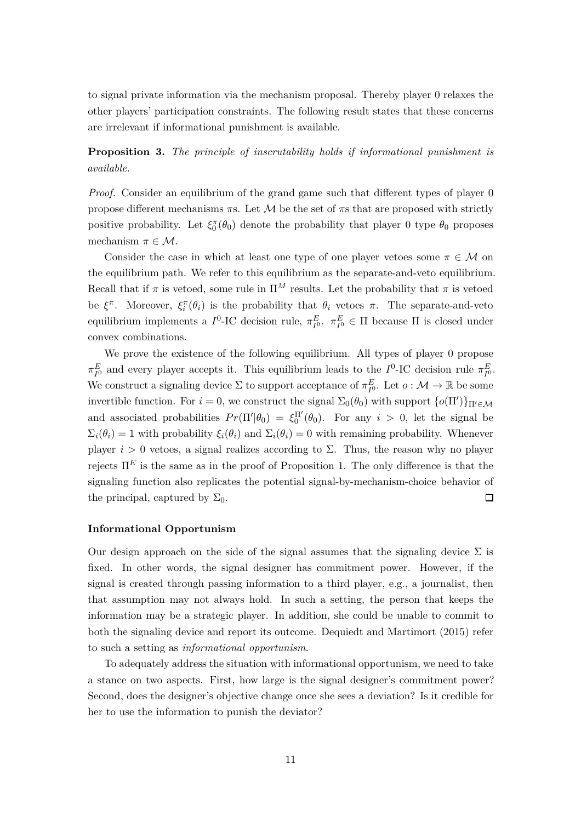<span id="page-10-0"></span>to signal private information via the mechanism proposal. Thereby player 0 relaxes the other players' participation constraints. The following result states that these concerns are irrelevant if informational punishment is available.

**Proposition 3.** *The principle of inscrutability holds if informational punishment is available.*

*Proof.* Consider an equilibrium of the grand game such that different types of player 0 propose different mechanisms *π*s. Let M be the set of *π*s that are proposed with strictly positive probability. Let  $\xi_0^{\pi}(\theta_0)$  denote the probability that player 0 type  $\theta_0$  proposes mechanism  $\pi \in \mathcal{M}$ .

Consider the case in which at least one type of one player vetoes some  $\pi \in \mathcal{M}$  on the equilibrium path. We refer to this equilibrium as the separate-and-veto equilibrium. Recall that if  $\pi$  is vetoed, some rule in  $\Pi^M$  results. Let the probability that  $\pi$  is vetoed be  $\xi^{\pi}$ . Moreover,  $\xi_i^{\pi}(\theta_i)$  is the probability that  $\theta_i$  vetoes  $\pi$ . The separate-and-veto equilibrium implements a  $I^0$ -IC decision rule,  $\pi_{I^0}^E$ .  $\pi_{I^0}^E \in \Pi$  because  $\Pi$  is closed under convex combinations.

We prove the existence of the following equilibrium. All types of player 0 propose *π*<sup>*E*</sup></sup> *I*<sup>0</sup> and every player accepts it. This equilibrium leads to the *I*<sup>0</sup>-IC decision rule  $π$ <sup>*E*</sup><sub>*I*</sub><sup>0</sup>. We construct a signaling device  $\Sigma$  to support acceptance of  $\pi_{I^0}^E$ . Let  $o: \mathcal{M} \to \mathbb{R}$  be some invertible function. For  $i = 0$ , we construct the signal  $\Sigma_0(\theta_0)$  with support  $\{o(\Pi')\}_{\Pi'\in\mathcal{M}}$ and associated probabilities  $Pr(\Pi'|\theta_0) = \xi_0^{\Pi'}(\theta_0)$ . For any  $i > 0$ , let the signal be  $\Sigma_i(\theta_i) = 1$  with probability  $\xi_i(\theta_i)$  and  $\Sigma_i(\theta_i) = 0$  with remaining probability. Whenever player  $i > 0$  vetoes, a signal realizes according to  $\Sigma$ . Thus, the reason why no player rejects  $\Pi^E$  is the same as in the proof of Proposition [1.](#page-6-0) The only difference is that the signaling function also replicates the potential signal-by-mechanism-choice behavior of the principal, captured by  $\Sigma_0$ .  $\Box$ 

### **Informational Opportunism**

Our design approach on the side of the signal assumes that the signaling device  $\Sigma$  is fixed. In other words, the signal designer has commitment power. However, if the signal is created through passing information to a third player, e.g., a journalist, then that assumption may not always hold. In such a setting, the person that keeps the information may be a strategic player. In addition, she could be unable to commit to both the signaling device and report its outcome. Dequiedt and Martimort [\(2015](#page-15-10)) refer to such a setting as *informational opportunism*.

To adequately address the situation with informational opportunism, we need to take a stance on two aspects. First, how large is the signal designer's commitment power? Second, does the designer's objective change once she sees a deviation? Is it credible for her to use the information to punish the deviator?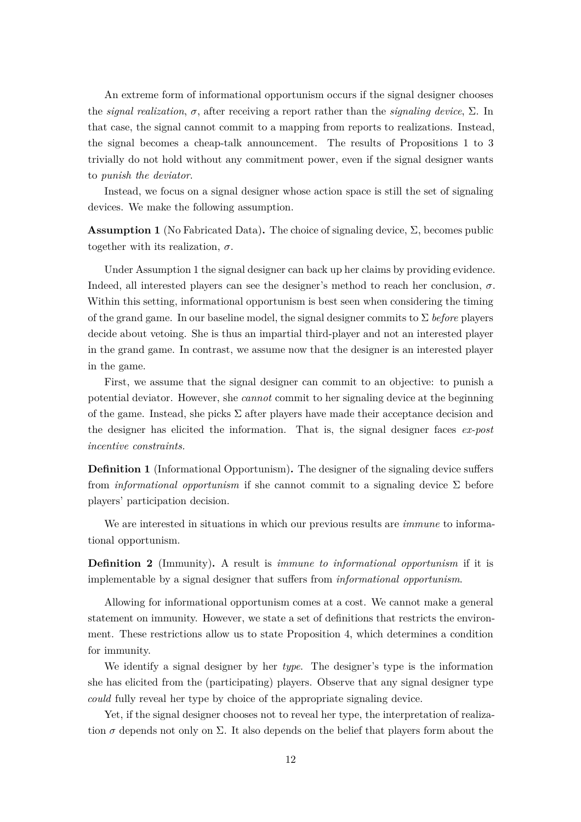An extreme form of informational opportunism occurs if the signal designer chooses the *signal realization*, *σ*, after receiving a report rather than the *signaling device*, Σ. In that case, the signal cannot commit to a mapping from reports to realizations. Instead, the signal becomes a cheap-talk announcement. The results of Propositions [1](#page-6-0) to [3](#page-10-0) trivially do not hold without any commitment power, even if the signal designer wants to *punish the deviator*.

<span id="page-11-0"></span>Instead, we focus on a signal designer whose action space is still the set of signaling devices. We make the following assumption.

**Assumption 1** (No Fabricated Data). The choice of signaling device,  $\Sigma$ , becomes public together with its realization,  $\sigma$ .

Under Assumption [1](#page-11-0) the signal designer can back up her claims by providing evidence. Indeed, all interested players can see the designer's method to reach her conclusion, *σ*. Within this setting, informational opportunism is best seen when considering the timing of the grand game. In our baseline model, the signal designer commits to Σ *before* players decide about vetoing. She is thus an impartial third-player and not an interested player in the grand game. In contrast, we assume now that the designer is an interested player in the game.

First, we assume that the signal designer can commit to an objective: to punish a potential deviator. However, she *cannot* commit to her signaling device at the beginning of the game. Instead, she picks  $\Sigma$  after players have made their acceptance decision and the designer has elicited the information. That is, the signal designer faces *ex-post incentive constraints.*

**Definition 1** (Informational Opportunism)**.** The designer of the signaling device suffers from *informational opportunism* if she cannot commit to a signaling device Σ before players' participation decision.

We are interested in situations in which our previous results are *immune* to informational opportunism.

**Definition 2** (Immunity)**.** A result is *immune to informational opportunism* if it is implementable by a signal designer that suffers from *informational opportunism*.

Allowing for informational opportunism comes at a cost. We cannot make a general statement on immunity. However, we state a set of definitions that restricts the environment. These restrictions allow us to state Proposition [4,](#page-12-0) which determines a condition for immunity.

We identify a signal designer by her *type*. The designer's type is the information she has elicited from the (participating) players. Observe that any signal designer type *could* fully reveal her type by choice of the appropriate signaling device.

Yet, if the signal designer chooses not to reveal her type, the interpretation of realization  $\sigma$  depends not only on  $\Sigma$ . It also depends on the belief that players form about the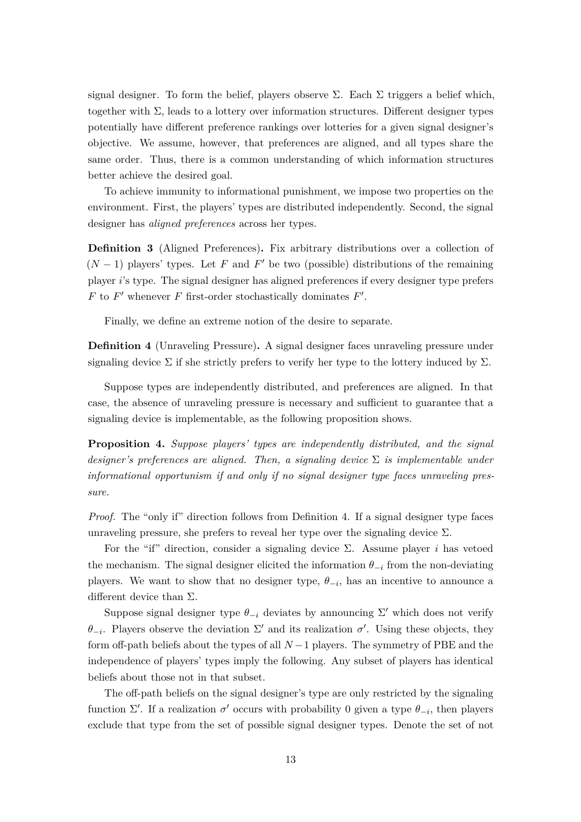signal designer. To form the belief, players observe  $\Sigma$ . Each  $\Sigma$  triggers a belief which, together with  $\Sigma$ , leads to a lottery over information structures. Different designer types potentially have different preference rankings over lotteries for a given signal designer's objective. We assume, however, that preferences are aligned, and all types share the same order. Thus, there is a common understanding of which information structures better achieve the desired goal.

To achieve immunity to informational punishment, we impose two properties on the environment. First, the players' types are distributed independently. Second, the signal designer has *aligned preferences* across her types.

**Definition 3** (Aligned Preferences)**.** Fix arbitrary distributions over a collection of  $(N-1)$  players' types. Let *F* and *F*' be two (possible) distributions of the remaining player *i*'s type. The signal designer has aligned preferences if every designer type prefers *F* to  $F'$  whenever *F* first-order stochastically dominates  $F'$ .

<span id="page-12-1"></span>Finally, we define an extreme notion of the desire to separate.

**Definition 4** (Unraveling Pressure)**.** A signal designer faces unraveling pressure under signaling device  $\Sigma$  if she strictly prefers to verify her type to the lottery induced by  $\Sigma$ .

Suppose types are independently distributed, and preferences are aligned. In that case, the absence of unraveling pressure is necessary and sufficient to guarantee that a signaling device is implementable, as the following proposition shows.

<span id="page-12-0"></span>**Proposition 4.** *Suppose players' types are independently distributed, and the signal designer's preferences are aligned. Then, a signaling device* Σ *is implementable under informational opportunism if and only if no signal designer type faces unraveling pressure.*

*Proof.* The "only if" direction follows from Definition [4.](#page-12-1) If a signal designer type faces unraveling pressure, she prefers to reveal her type over the signaling device  $\Sigma$ .

For the "if" direction, consider a signaling device  $\Sigma$ . Assume player *i* has vetoed the mechanism. The signal designer elicited the information  $\theta_{-i}$  from the non-deviating players. We want to show that no designer type,  $\theta_{-i}$ , has an incentive to announce a different device than  $\Sigma$ .

Suppose signal designer type  $\theta_{-i}$  deviates by announcing  $\Sigma'$  which does not verify *θ*<sub>−*i*</sub>. Players observe the deviation  $\Sigma'$  and its realization *σ*<sup>'</sup>. Using these objects, they form off-path beliefs about the types of all *N* −1 players. The symmetry of PBE and the independence of players' types imply the following. Any subset of players has identical beliefs about those not in that subset.

The off-path beliefs on the signal designer's type are only restricted by the signaling function  $\Sigma'$ . If a realization  $\sigma'$  occurs with probability 0 given a type  $\theta_{-i}$ , then players exclude that type from the set of possible signal designer types. Denote the set of not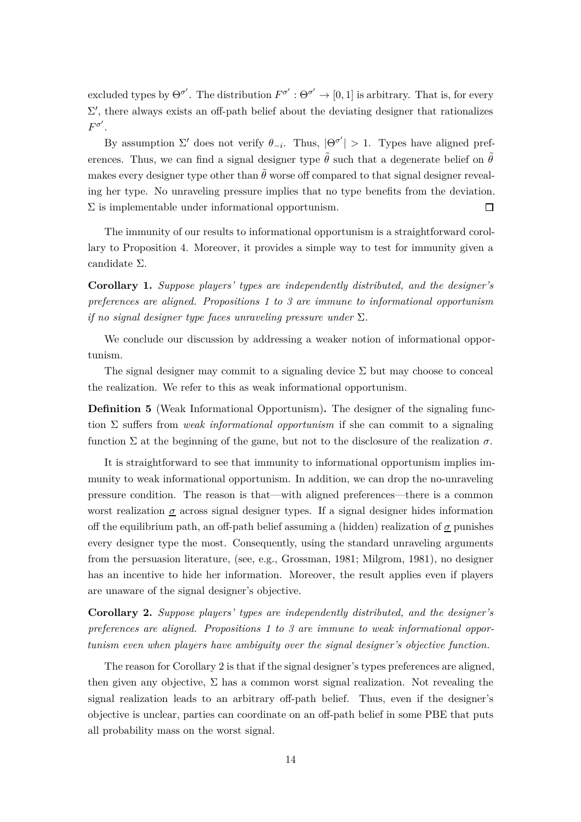excluded types by  $\Theta^{\sigma'}$ . The distribution  $F^{\sigma'} : \Theta^{\sigma'} \to [0,1]$  is arbitrary. That is, for every  $\Sigma'$ , there always exists an off-path belief about the deviating designer that rationalizes  $F^{\sigma'}$ .

By assumption  $\Sigma'$  does not verify  $\theta_{-i}$ . Thus,  $|\Theta^{\sigma'}| > 1$ . Types have aligned preferences. Thus, we can find a signal designer type  $\tilde{\theta}$  such that a degenerate belief on  $\tilde{\theta}$ makes every designer type other than  $\hat{\theta}$  worse off compared to that signal designer revealing her type. No unraveling pressure implies that no type benefits from the deviation.  $\Sigma$  is implementable under informational opportunism.  $\Box$ 

The immunity of our results to informational opportunism is a straightforward corollary to Proposition [4.](#page-12-0) Moreover, it provides a simple way to test for immunity given a candidate Σ.

**Corollary 1.** *Suppose players' types are independently distributed, and the designer's preferences are aligned. Propositions [1](#page-6-0) to [3](#page-10-0) are immune to informational opportunism if no signal designer type faces unraveling pressure under* Σ*.*

We conclude our discussion by addressing a weaker notion of informational opportunism.

The signal designer may commit to a signaling device  $\Sigma$  but may choose to conceal the realization. We refer to this as weak informational opportunism.

**Definition 5** (Weak Informational Opportunism). The designer of the signaling function Σ suffers from *weak informational opportunism* if she can commit to a signaling function  $\Sigma$  at the beginning of the game, but not to the disclosure of the realization  $\sigma$ .

It is straightforward to see that immunity to informational opportunism implies immunity to weak informational opportunism. In addition, we can drop the no-unraveling pressure condition. The reason is that—with aligned preferences—there is a common worst realization  $\sigma$  across signal designer types. If a signal designer hides information off the equilibrium path, an off-path belief assuming a (hidden) realization of *σ* punishes every designer type the most. Consequently, using the standard unraveling arguments from the persuasion literature, (see, e.g., Grossman, [1981](#page-15-15); Milgrom, [1981](#page-15-16)), no designer has an incentive to hide her information. Moreover, the result applies even if players are unaware of the signal designer's objective.

<span id="page-13-0"></span>**Corollary 2.** *Suppose players' types are independently distributed, and the designer's preferences are aligned. Propositions [1](#page-6-0) to [3](#page-10-0) are immune to weak informational opportunism even when players have ambiguity over the signal designer's objective function.*

The reason for Corollary [2](#page-13-0) is that if the signal designer's types preferences are aligned, then given any objective,  $\Sigma$  has a common worst signal realization. Not revealing the signal realization leads to an arbitrary off-path belief. Thus, even if the designer's objective is unclear, parties can coordinate on an off-path belief in some PBE that puts all probability mass on the worst signal.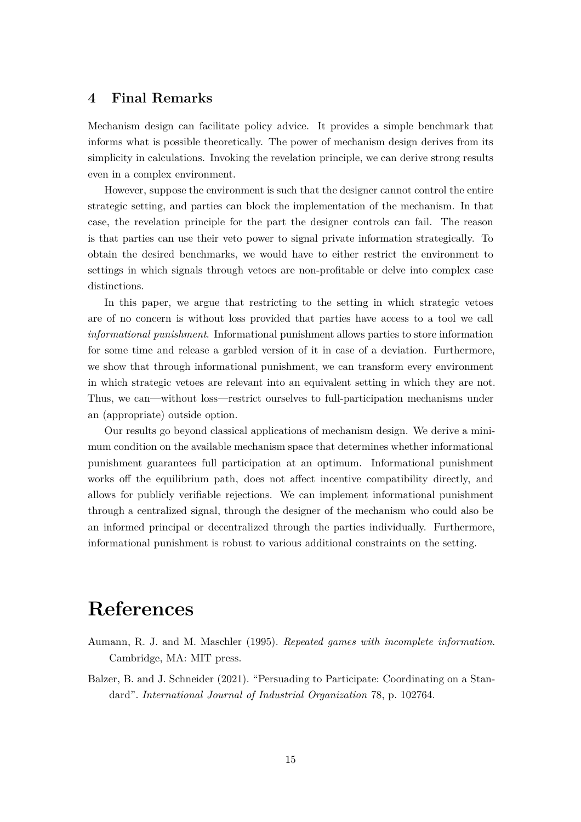# **4 Final Remarks**

Mechanism design can facilitate policy advice. It provides a simple benchmark that informs what is possible theoretically. The power of mechanism design derives from its simplicity in calculations. Invoking the revelation principle, we can derive strong results even in a complex environment.

However, suppose the environment is such that the designer cannot control the entire strategic setting, and parties can block the implementation of the mechanism. In that case, the revelation principle for the part the designer controls can fail. The reason is that parties can use their veto power to signal private information strategically. To obtain the desired benchmarks, we would have to either restrict the environment to settings in which signals through vetoes are non-profitable or delve into complex case distinctions.

In this paper, we argue that restricting to the setting in which strategic vetoes are of no concern is without loss provided that parties have access to a tool we call *informational punishment*. Informational punishment allows parties to store information for some time and release a garbled version of it in case of a deviation. Furthermore, we show that through informational punishment, we can transform every environment in which strategic vetoes are relevant into an equivalent setting in which they are not. Thus, we can—without loss—restrict ourselves to full-participation mechanisms under an (appropriate) outside option.

Our results go beyond classical applications of mechanism design. We derive a minimum condition on the available mechanism space that determines whether informational punishment guarantees full participation at an optimum. Informational punishment works off the equilibrium path, does not affect incentive compatibility directly, and allows for publicly verifiable rejections. We can implement informational punishment through a centralized signal, through the designer of the mechanism who could also be an informed principal or decentralized through the parties individually. Furthermore, informational punishment is robust to various additional constraints on the setting.

# <span id="page-14-1"></span>**References**

- Aumann, R. J. and M. Maschler (1995). *Repeated games with incomplete information*. Cambridge, MA: MIT press.
- <span id="page-14-0"></span>Balzer, B. and J. Schneider (2021). "Persuading to Participate: Coordinating on a Standard". *International Journal of Industrial Organization* 78, p. 102764.